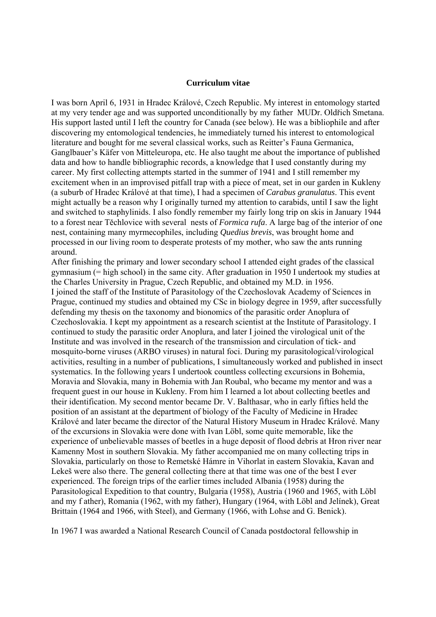## **Curriculum vitae**

I was born April 6, 1931 in Hradec Králové, Czech Republic. My interest in entomology started at my very tender age and was supported unconditionally by my father MUDr. Oldřich Smetana. His support lasted until I left the country for Canada (see below). He was a bibliophile and after discovering my entomological tendencies, he immediately turned his interest to entomological literature and bought for me several classical works, such as Reitter's Fauna Germanica, Ganglbauer's Käfer von Mitteleuropa, etc. He also taught me about the importance of published data and how to handle bibliographic records, a knowledge that I used constantly during my career. My first collecting attempts started in the summer of 1941 and I still remember my excitement when in an improvised pitfall trap with a piece of meat, set in our garden in Kukleny (a suburb of Hradec Králové at that time), I had a specimen of *Carabus granulatus*. This event might actually be a reason why I originally turned my attention to carabids, until I saw the light and switched to staphylinids. I also fondly remember my fairly long trip on skis in January 1944 to a forest near Těchlovice with several nests of *Formica rufa*. A large bag of the interior of one nest, containing many myrmecophiles, including *Quedius brevis*, was brought home and processed in our living room to desperate protests of my mother, who saw the ants running around.

After finishing the primary and lower secondary school I attended eight grades of the classical gymnasium (= high school) in the same city. After graduation in 1950 I undertook my studies at the Charles University in Prague, Czech Republic, and obtained my M.D. in 1956. I joined the staff of the Institute of Parasitology of the Czechoslovak Academy of Sciences in Prague, continued my studies and obtained my CSc in biology degree in 1959, after successfully defending my thesis on the taxonomy and bionomics of the parasitic order Anoplura of Czechoslovakia. I kept my appointment as a research scientist at the Institute of Parasitology. I continued to study the parasitic order Anoplura, and later I joined the virological unit of the Institute and was involved in the research of the transmission and circulation of tick- and mosquito-borne viruses (ARBO viruses) in natural foci. During my parasitological/virological activities, resulting in a number of publications, I simultaneously worked and published in insect systematics. In the following years I undertook countless collecting excursions in Bohemia, Moravia and Slovakia, many in Bohemia with Jan Roubal, who became my mentor and was a frequent guest in our house in Kukleny. From him I learned a lot about collecting beetles and their identification. My second mentor became Dr. V. Balthasar, who in early fifties held the position of an assistant at the department of biology of the Faculty of Medicine in Hradec Králové and later became the director of the Natural History Museum in Hradec Králové. Many of the excursions in Slovakia were done with Ivan Löbl, some quite memorable, like the experience of unbelievable masses of beetles in a huge deposit of flood debris at Hron river near Kamenny Most in southern Slovakia. My father accompanied me on many collecting trips in Slovakia, particularly on those to Remetské Hámre in Vihorlat in eastern Slovakia, Kavan and Lekeš were also there. The general collecting there at that time was one of the best I ever experienced. The foreign trips of the earlier times included Albania (1958) during the Parasitological Expedition to that country, Bulgaria (1958), Austria (1960 and 1965, with Löbl and my f ather), Romania (1962, with my father), Hungary (1964, with Löbl and Jelínek), Great Brittain (1964 and 1966, with Steel), and Germany (1966, with Lohse and G. Benick).

In 1967 I was awarded a National Research Council of Canada postdoctoral fellowship in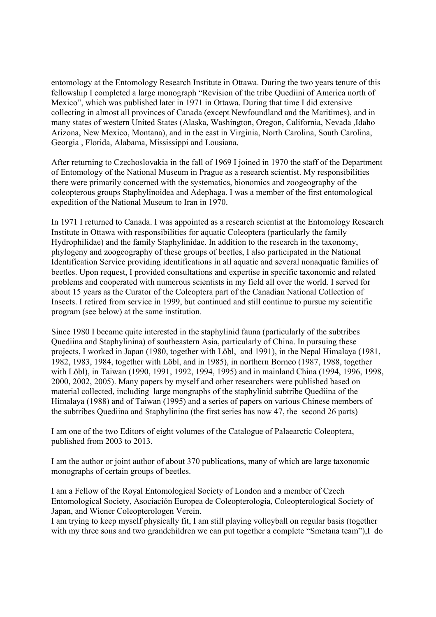entomology at the Entomology Research Institute in Ottawa. During the two years tenure of this fellowship I completed a large monograph "Revision of the tribe Quediini of America north of Mexico", which was published later in 1971 in Ottawa. During that time I did extensive collecting in almost all provinces of Canada (except Newfoundland and the Maritimes), and in many states of western United States (Alaska, Washington, Oregon, California, Nevada ,Idaho Arizona, New Mexico, Montana), and in the east in Virginia, North Carolina, South Carolina, Georgia , Florida, Alabama, Mississippi and Lousiana.

After returning to Czechoslovakia in the fall of 1969 I joined in 1970 the staff of the Department of Entomology of the National Museum in Prague as a research scientist. My responsibilities there were primarily concerned with the systematics, bionomics and zoogeography of the coleopterous groups Staphylinoidea and Adephaga. I was a member of the first entomological expedition of the National Museum to Iran in 1970.

In 1971 I returned to Canada. I was appointed as a research scientist at the Entomology Research Institute in Ottawa with responsibilities for aquatic Coleoptera (particularly the family Hydrophilidae) and the family Staphylinidae. In addition to the research in the taxonomy, phylogeny and zoogeography of these groups of beetles, I also participated in the National Identification Service providing identifications in all aquatic and several nonaquatic families of beetles. Upon request, I provided consultations and expertise in specific taxonomic and related problems and cooperated with numerous scientists in my field all over the world. I served for about 15 years as the Curator of the Coleoptera part of the Canadian National Collection of Insects. I retired from service in 1999, but continued and still continue to pursue my scientific program (see below) at the same institution.

Since 1980 I became quite interested in the staphylinid fauna (particularly of the subtribes Quediina and Staphylinina) of southeastern Asia, particularly of China. In pursuing these projects, I worked in Japan (1980, together with Löbl, and 1991), in the Nepal Himalaya (1981, 1982, 1983, 1984, together with Löbl, and in 1985), in northern Borneo (1987, 1988, together with Löbl), in Taiwan (1990, 1991, 1992, 1994, 1995) and in mainland China (1994, 1996, 1998, 2000, 2002, 2005). Many papers by myself and other researchers were published based on material collected, including large mongraphs of the staphylinid subtribe Quediina of the Himalaya (1988) and of Taiwan (1995) and a series of papers on various Chinese members of the subtribes Quediina and Staphylinina (the first series has now 47, the second 26 parts)

I am one of the two Editors of eight volumes of the Catalogue of Palaearctic Coleoptera, published from 2003 to 2013.

I am the author or joint author of about 370 publications, many of which are large taxonomic monographs of certain groups of beetles.

I am a Fellow of the Royal Entomological Society of London and a member of Czech Entomological Society, Asociación Europea de Coleopterología, Coleopterological Society of Japan, and Wiener Coleopterologen Verein.

I am trying to keep myself physically fit, I am still playing volleyball on regular basis (together with my three sons and two grandchildren we can put together a complete "Smetana team"), I do